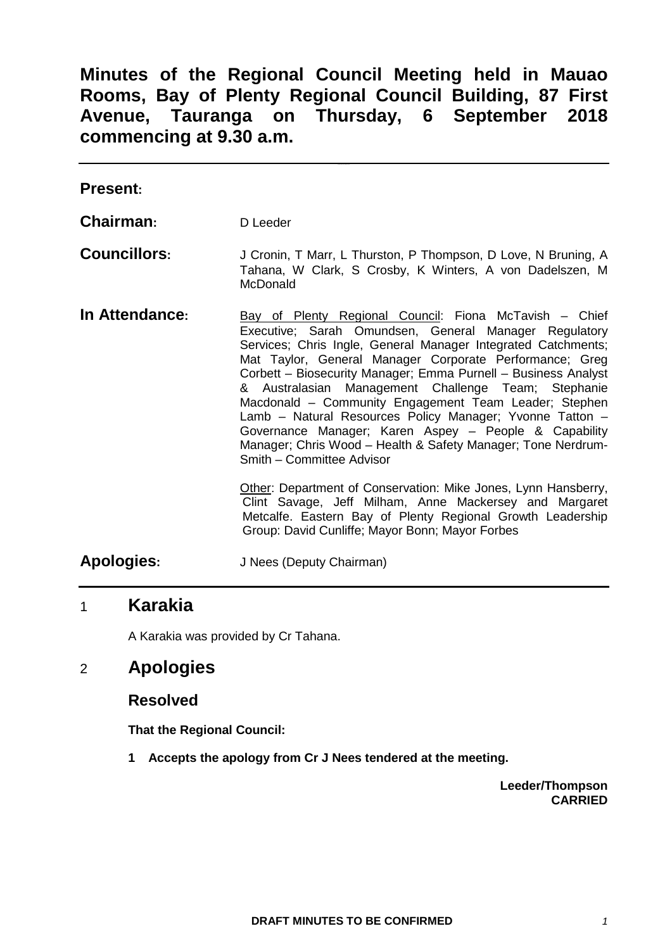# **Minutes of the Regional Council Meeting held in Mauao Rooms, Bay of Plenty Regional Council Building, 87 First Avenue, Tauranga on Thursday, 6 September 2018 commencing at 9.30 a.m.**

| <b>Present:</b>     |                                                                                                                                                                                                                                                                                                                                                                                                                                                                                                                                                                                                                                                 |
|---------------------|-------------------------------------------------------------------------------------------------------------------------------------------------------------------------------------------------------------------------------------------------------------------------------------------------------------------------------------------------------------------------------------------------------------------------------------------------------------------------------------------------------------------------------------------------------------------------------------------------------------------------------------------------|
| Chairman:           | D Leeder                                                                                                                                                                                                                                                                                                                                                                                                                                                                                                                                                                                                                                        |
| <b>Councillors:</b> | J Cronin, T Marr, L Thurston, P Thompson, D Love, N Bruning, A<br>Tahana, W Clark, S Crosby, K Winters, A von Dadelszen, M<br><b>McDonald</b>                                                                                                                                                                                                                                                                                                                                                                                                                                                                                                   |
| In Attendance:      | Bay of Plenty Regional Council: Fiona McTavish – Chief<br>Executive; Sarah Omundsen, General Manager Regulatory<br>Services; Chris Ingle, General Manager Integrated Catchments;<br>Mat Taylor, General Manager Corporate Performance; Greg<br>Corbett - Biosecurity Manager; Emma Purnell - Business Analyst<br>& Australasian Management Challenge Team; Stephanie<br>Macdonald - Community Engagement Team Leader; Stephen<br>Lamb - Natural Resources Policy Manager; Yvonne Tatton -<br>Governance Manager; Karen Aspey - People & Capability<br>Manager; Chris Wood - Health & Safety Manager; Tone Nerdrum-<br>Smith - Committee Advisor |
|                     | Other: Department of Conservation: Mike Jones, Lynn Hansberry,<br>Clint Savage, Jeff Milham, Anne Mackersey and Margaret<br>Metcalfe. Eastern Bay of Plenty Regional Growth Leadership<br>Group: David Cunliffe; Mayor Bonn; Mayor Forbes                                                                                                                                                                                                                                                                                                                                                                                                       |
| Apologies:          | J Nees (Deputy Chairman)                                                                                                                                                                                                                                                                                                                                                                                                                                                                                                                                                                                                                        |

# 1 **Karakia**

A Karakia was provided by Cr Tahana.

# 2 **Apologies**

## **Resolved**

**That the Regional Council:**

**1 Accepts the apology from Cr J Nees tendered at the meeting.**

**Leeder/Thompson CARRIED**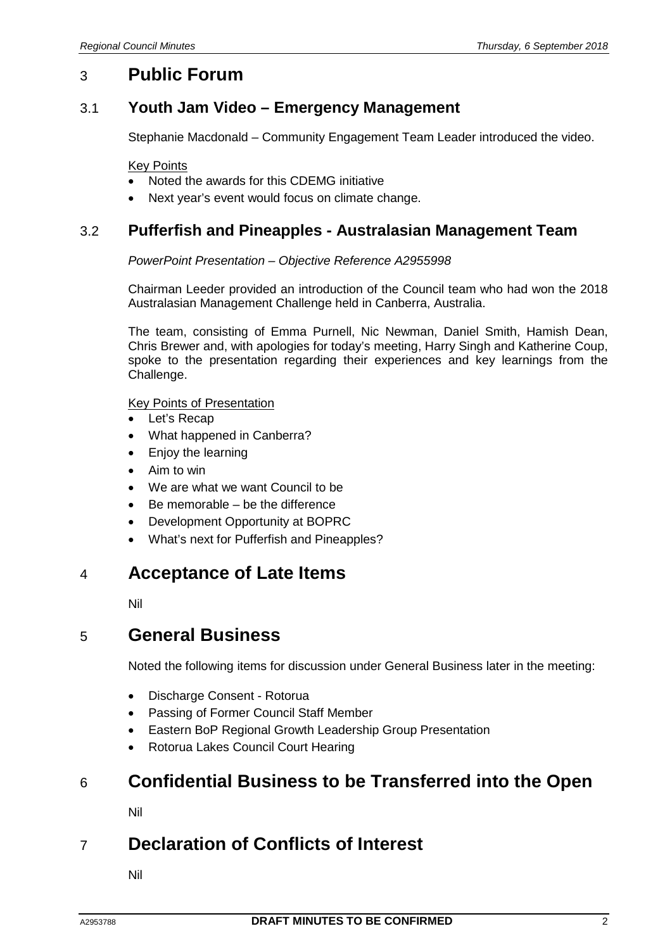# 3 **Public Forum**

## 3.1 **Youth Jam Video – Emergency Management**

Stephanie Macdonald – Community Engagement Team Leader introduced the video.

#### Key Points

- Noted the awards for this CDEMG initiative
- Next year's event would focus on climate change.

## 3.2 **Pufferfish and Pineapples - Australasian Management Team**

### *PowerPoint Presentation – Objective Reference A2955998*

Chairman Leeder provided an introduction of the Council team who had won the 2018 Australasian Management Challenge held in Canberra, Australia.

The team, consisting of Emma Purnell, Nic Newman, Daniel Smith, Hamish Dean, Chris Brewer and, with apologies for today's meeting, Harry Singh and Katherine Coup, spoke to the presentation regarding their experiences and key learnings from the Challenge.

### Key Points of Presentation

- Let's Recap
- What happened in Canberra?
- Enjoy the learning
- Aim to win
- We are what we want Council to be
- Be memorable be the difference
- Development Opportunity at BOPRC
- What's next for Pufferfish and Pineapples?

# 4 **Acceptance of Late Items**

Nil

## 5 **General Business**

Noted the following items for discussion under General Business later in the meeting:

- Discharge Consent Rotorua
- Passing of Former Council Staff Member
- Eastern BoP Regional Growth Leadership Group Presentation
- Rotorua Lakes Council Court Hearing

# 6 **Confidential Business to be Transferred into the Open**

Nil

# 7 **Declaration of Conflicts of Interest**

Nil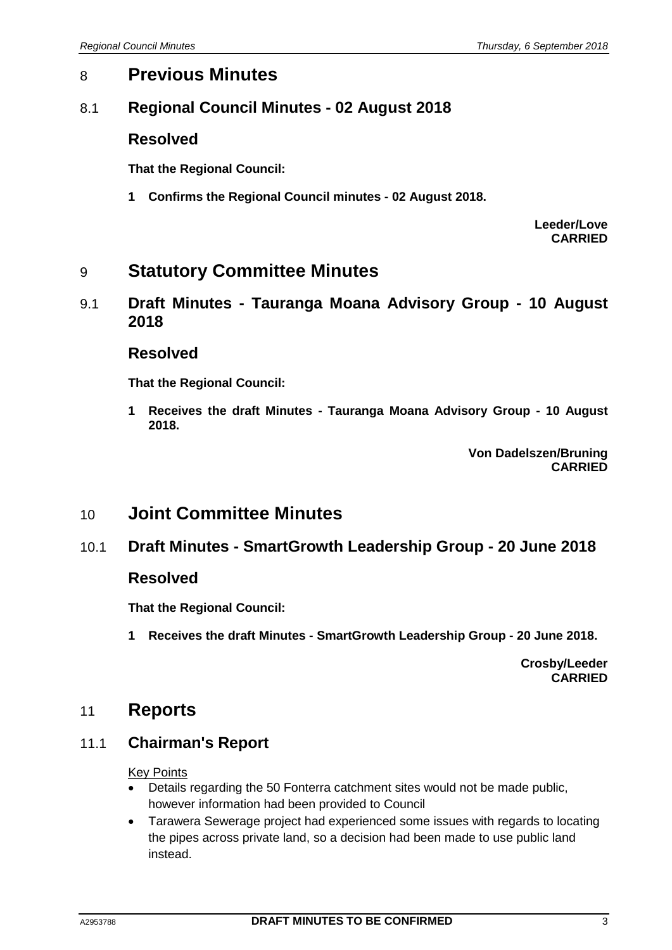# 8 **Previous Minutes**

# 8.1 **Regional Council Minutes - 02 August 2018**

## **Resolved**

**That the Regional Council:**

**1 Confirms the Regional Council minutes - 02 August 2018.**

**Leeder/Love CARRIED**

# 9 **Statutory Committee Minutes**

9.1 **Draft Minutes - Tauranga Moana Advisory Group - 10 August 2018**

### **Resolved**

**That the Regional Council:**

**1 Receives the draft Minutes - Tauranga Moana Advisory Group - 10 August 2018.**

> **Von Dadelszen/Bruning CARRIED**

# 10 **Joint Committee Minutes**

## 10.1 **Draft Minutes - SmartGrowth Leadership Group - 20 June 2018**

## **Resolved**

**That the Regional Council:**

**1 Receives the draft Minutes - SmartGrowth Leadership Group - 20 June 2018.**

**Crosby/Leeder CARRIED**

## 11 **Reports**

## 11.1 **Chairman's Report**

### Key Points

- Details regarding the 50 Fonterra catchment sites would not be made public, however information had been provided to Council
- Tarawera Sewerage project had experienced some issues with regards to locating the pipes across private land, so a decision had been made to use public land instead.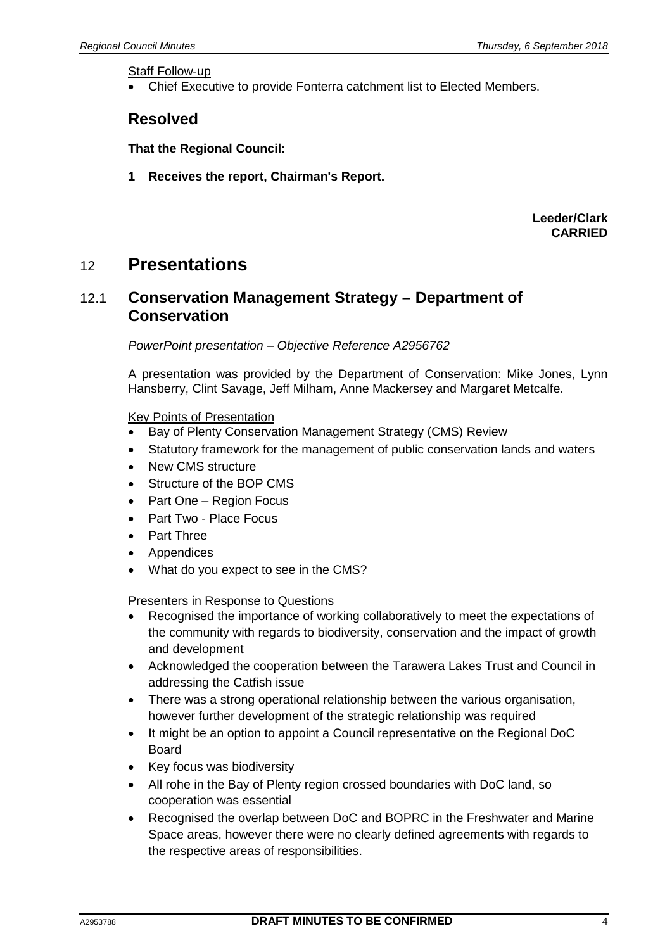Staff Follow-up

• Chief Executive to provide Fonterra catchment list to Elected Members.

## **Resolved**

**That the Regional Council:**

**1 Receives the report, Chairman's Report.**

**Leeder/Clark CARRIED**

# 12 **Presentations**

## 12.1 **Conservation Management Strategy – Department of Conservation**

*PowerPoint presentation – Objective Reference A2956762*

A presentation was provided by the Department of Conservation: Mike Jones, Lynn Hansberry, Clint Savage, Jeff Milham, Anne Mackersey and Margaret Metcalfe.

### Key Points of Presentation

- Bay of Plenty Conservation Management Strategy (CMS) Review
- Statutory framework for the management of public conservation lands and waters
- New CMS structure
- Structure of the BOP CMS
- Part One Region Focus
- Part Two Place Focus
- Part Three
- Appendices
- What do you expect to see in the CMS?

Presenters in Response to Questions

- Recognised the importance of working collaboratively to meet the expectations of the community with regards to biodiversity, conservation and the impact of growth and development
- Acknowledged the cooperation between the Tarawera Lakes Trust and Council in addressing the Catfish issue
- There was a strong operational relationship between the various organisation, however further development of the strategic relationship was required
- It might be an option to appoint a Council representative on the Regional DoC Board
- Key focus was biodiversity
- All rohe in the Bay of Plenty region crossed boundaries with DoC land, so cooperation was essential
- Recognised the overlap between DoC and BOPRC in the Freshwater and Marine Space areas, however there were no clearly defined agreements with regards to the respective areas of responsibilities.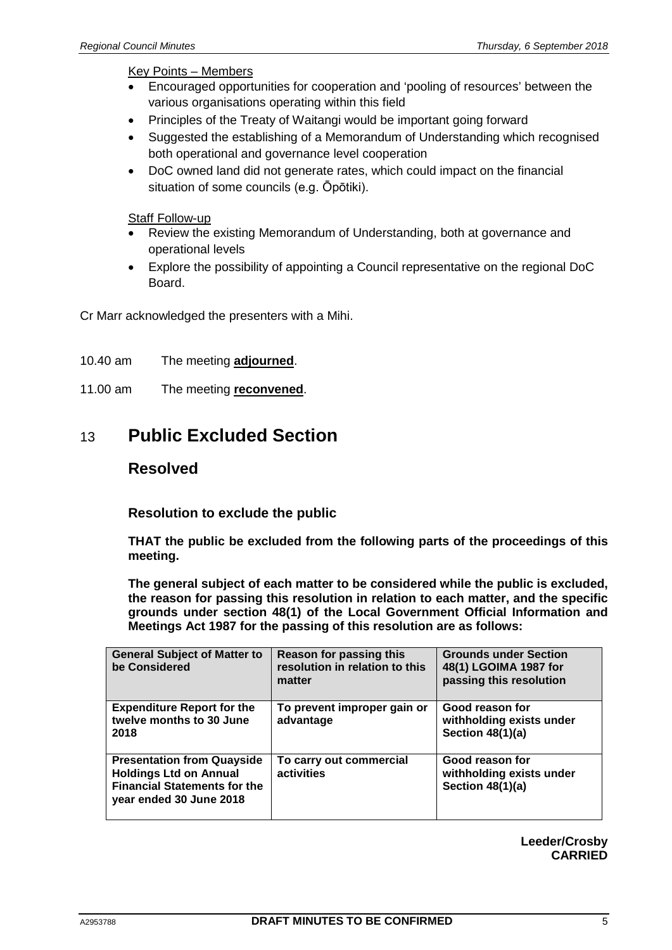### Key Points – Members

- Encouraged opportunities for cooperation and 'pooling of resources' between the various organisations operating within this field
- Principles of the Treaty of Waitangi would be important going forward
- Suggested the establishing of a Memorandum of Understanding which recognised both operational and governance level cooperation
- DoC owned land did not generate rates, which could impact on the financial situation of some councils (e.g. Ōpōtiki).

### Staff Follow-up

- Review the existing Memorandum of Understanding, both at governance and operational levels
- Explore the possibility of appointing a Council representative on the regional DoC Board.

Cr Marr acknowledged the presenters with a Mihi.

- 10.40 am The meeting **adjourned**.
- 11.00 am The meeting **reconvened**.

# 13 **Public Excluded Section**

## **Resolved**

**Resolution to exclude the public**

**THAT the public be excluded from the following parts of the proceedings of this meeting.**

**The general subject of each matter to be considered while the public is excluded, the reason for passing this resolution in relation to each matter, and the specific grounds under section 48(1) of the Local Government Official Information and Meetings Act 1987 for the passing of this resolution are as follows:**

| <b>General Subject of Matter to</b><br>be Considered                                                                                 | <b>Reason for passing this</b><br>resolution in relation to this<br>matter | <b>Grounds under Section</b><br>48(1) LGOIMA 1987 for<br>passing this resolution |
|--------------------------------------------------------------------------------------------------------------------------------------|----------------------------------------------------------------------------|----------------------------------------------------------------------------------|
| <b>Expenditure Report for the</b><br>twelve months to 30 June<br>2018                                                                | To prevent improper gain or<br>advantage                                   | Good reason for<br>withholding exists under<br>Section $48(1)(a)$                |
| <b>Presentation from Quayside</b><br><b>Holdings Ltd on Annual</b><br><b>Financial Statements for the</b><br>year ended 30 June 2018 | To carry out commercial<br>activities                                      | Good reason for<br>withholding exists under<br>Section $48(1)(a)$                |

**Leeder/Crosby CARRIED**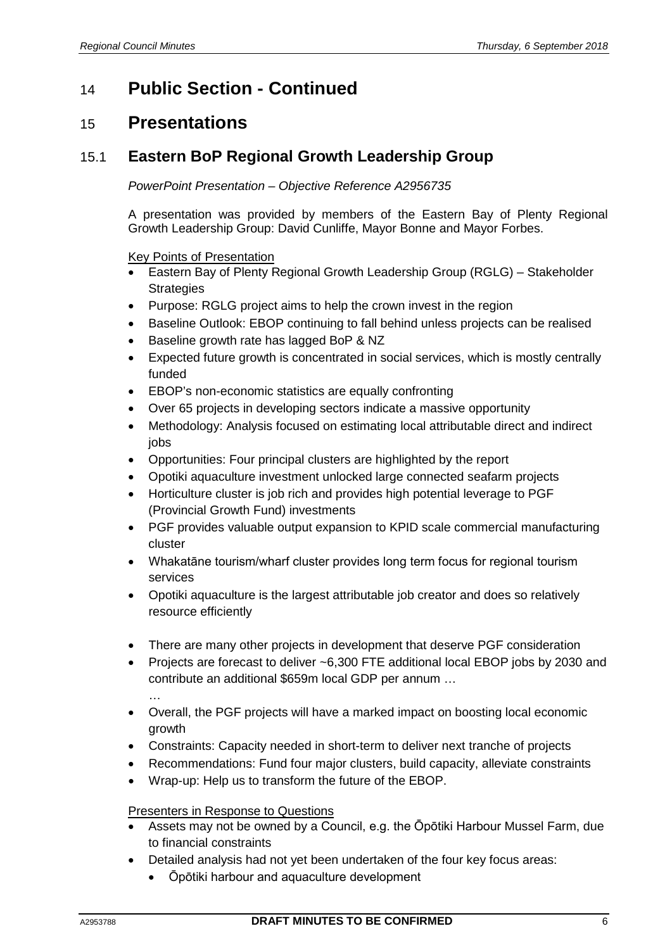# 14 **Public Section - Continued**

# 15 **Presentations**

# 15.1 **Eastern BoP Regional Growth Leadership Group**

### *PowerPoint Presentation – Objective Reference A2956735*

A presentation was provided by members of the Eastern Bay of Plenty Regional Growth Leadership Group: David Cunliffe, Mayor Bonne and Mayor Forbes.

Key Points of Presentation

- Eastern Bay of Plenty Regional Growth Leadership Group (RGLG) Stakeholder **Strategies**
- Purpose: RGLG project aims to help the crown invest in the region
- Baseline Outlook: EBOP continuing to fall behind unless projects can be realised
- Baseline growth rate has lagged BoP & NZ
- Expected future growth is concentrated in social services, which is mostly centrally funded
- EBOP's non-economic statistics are equally confronting
- Over 65 projects in developing sectors indicate a massive opportunity
- Methodology: Analysis focused on estimating local attributable direct and indirect jobs
- Opportunities: Four principal clusters are highlighted by the report
- Opotiki aquaculture investment unlocked large connected seafarm projects
- Horticulture cluster is job rich and provides high potential leverage to PGF (Provincial Growth Fund) investments
- PGF provides valuable output expansion to KPID scale commercial manufacturing cluster
- Whakatāne tourism/wharf cluster provides long term focus for regional tourism services
- Opotiki aquaculture is the largest attributable job creator and does so relatively resource efficiently
- There are many other projects in development that deserve PGF consideration
- Projects are forecast to deliver ~6,300 FTE additional local EBOP jobs by 2030 and contribute an additional \$659m local GDP per annum …

…

- Overall, the PGF projects will have a marked impact on boosting local economic growth
- Constraints: Capacity needed in short-term to deliver next tranche of projects
- Recommendations: Fund four major clusters, build capacity, alleviate constraints
- Wrap-up: Help us to transform the future of the EBOP.

### Presenters in Response to Questions

- Assets may not be owned by a Council, e.g. the Ōpōtiki Harbour Mussel Farm, due to financial constraints
- Detailed analysis had not yet been undertaken of the four key focus areas:
	- Ōpōtiki harbour and aquaculture development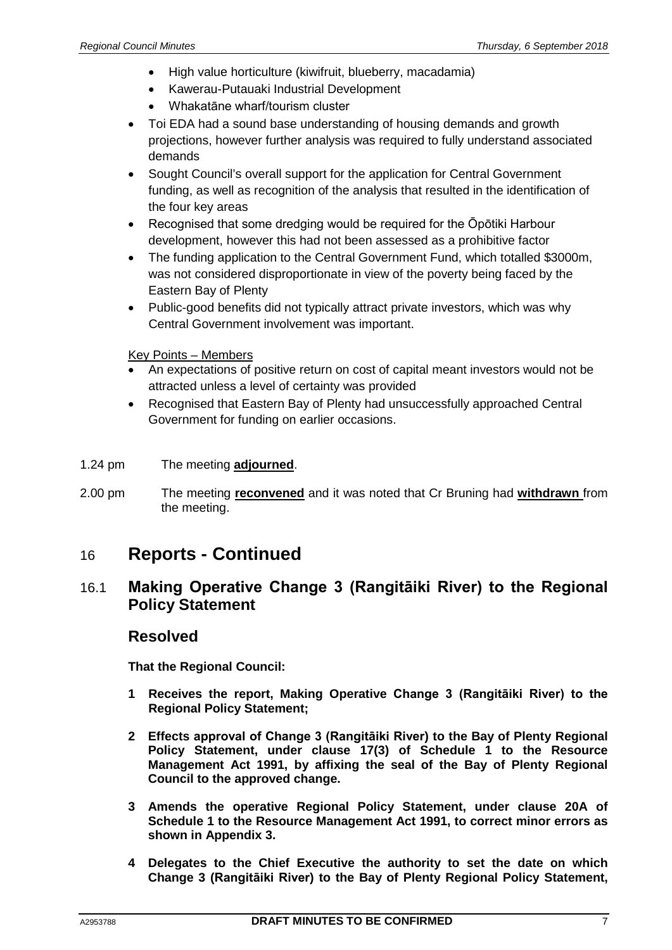- High value horticulture (kiwifruit, blueberry, macadamia)
- Kawerau-Putauaki Industrial Development
- Whakatāne wharf/tourism cluster
- Toi EDA had a sound base understanding of housing demands and growth projections, however further analysis was required to fully understand associated demands
- Sought Council's overall support for the application for Central Government funding, as well as recognition of the analysis that resulted in the identification of the four key areas
- Recognised that some dredging would be required for the Opotiki Harbour development, however this had not been assessed as a prohibitive factor
- The funding application to the Central Government Fund, which totalled \$3000m, was not considered disproportionate in view of the poverty being faced by the Eastern Bay of Plenty
- Public-good benefits did not typically attract private investors, which was why Central Government involvement was important.

Key Points – Members

- An expectations of positive return on cost of capital meant investors would not be attracted unless a level of certainty was provided
- Recognised that Eastern Bay of Plenty had unsuccessfully approached Central Government for funding on earlier occasions.
- 1.24 pm The meeting **adjourned**.
- 2.00 pm The meeting **reconvened** and it was noted that Cr Bruning had **withdrawn** from the meeting.

# 16 **Reports - Continued**

## 16.1 **Making Operative Change 3 (Rangitāiki River) to the Regional Policy Statement**

## **Resolved**

**That the Regional Council:**

- **1 Receives the report, Making Operative Change 3 (Rangitāiki River) to the Regional Policy Statement;**
- **2 Effects approval of Change 3 (Rangitāiki River) to the Bay of Plenty Regional Policy Statement, under clause 17(3) of Schedule 1 to the Resource Management Act 1991, by affixing the seal of the Bay of Plenty Regional Council to the approved change.**
- **3 Amends the operative Regional Policy Statement, under clause 20A of Schedule 1 to the Resource Management Act 1991, to correct minor errors as shown in Appendix 3.**
- **4 Delegates to the Chief Executive the authority to set the date on which Change 3 (Rangitāiki River) to the Bay of Plenty Regional Policy Statement,**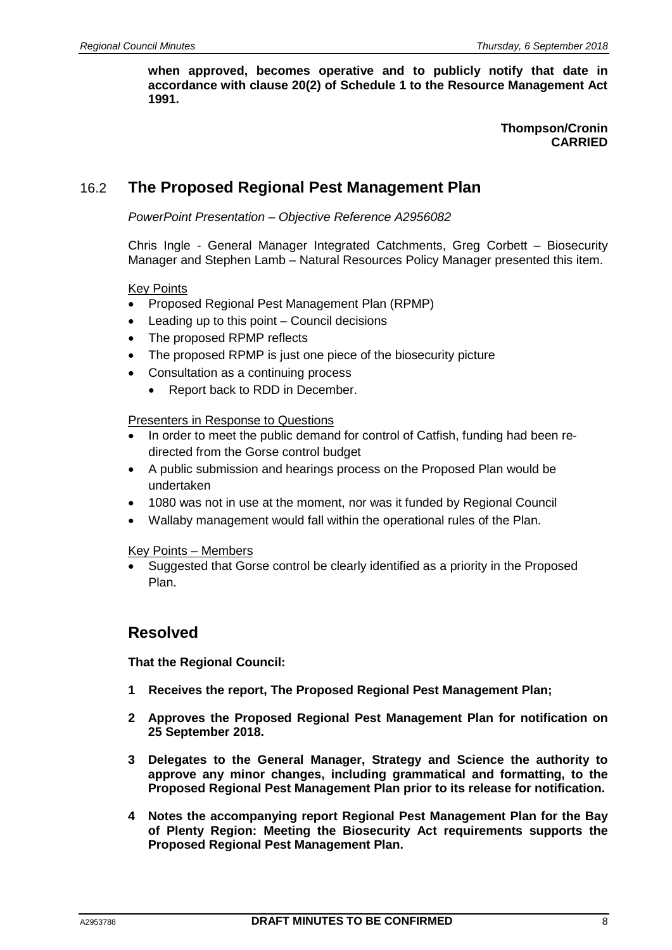**when approved, becomes operative and to publicly notify that date in accordance with clause 20(2) of Schedule 1 to the Resource Management Act 1991.**

> **Thompson/Cronin CARRIED**

# 16.2 **The Proposed Regional Pest Management Plan**

*PowerPoint Presentation – Objective Reference A2956082*

Chris Ingle - General Manager Integrated Catchments, Greg Corbett – Biosecurity Manager and Stephen Lamb – Natural Resources Policy Manager presented this item.

### Key Points

- Proposed Regional Pest Management Plan (RPMP)
- Leading up to this point Council decisions
- The proposed RPMP reflects
- The proposed RPMP is just one piece of the biosecurity picture
- Consultation as a continuing process
	- Report back to RDD in December.

### Presenters in Response to Questions

- In order to meet the public demand for control of Catfish, funding had been redirected from the Gorse control budget
- A public submission and hearings process on the Proposed Plan would be undertaken
- 1080 was not in use at the moment, nor was it funded by Regional Council
- Wallaby management would fall within the operational rules of the Plan.

Key Points – Members

• Suggested that Gorse control be clearly identified as a priority in the Proposed Plan.

## **Resolved**

**That the Regional Council:**

- **1 Receives the report, The Proposed Regional Pest Management Plan;**
- **2 Approves the Proposed Regional Pest Management Plan for notification on 25 September 2018.**
- **3 Delegates to the General Manager, Strategy and Science the authority to approve any minor changes, including grammatical and formatting, to the Proposed Regional Pest Management Plan prior to its release for notification.**
- **4 Notes the accompanying report Regional Pest Management Plan for the Bay of Plenty Region: Meeting the Biosecurity Act requirements supports the Proposed Regional Pest Management Plan.**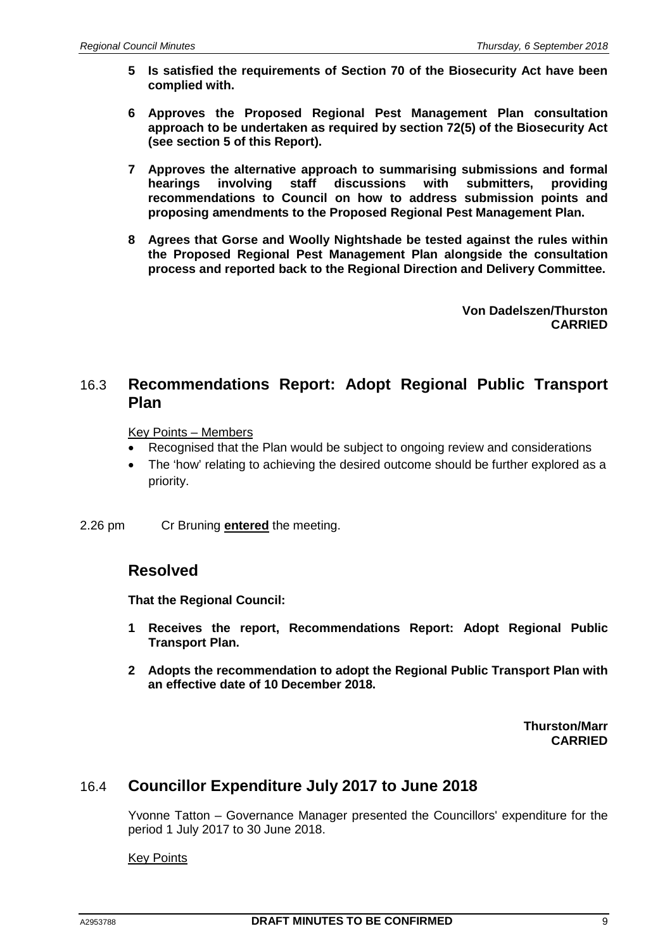- **5 Is satisfied the requirements of Section 70 of the Biosecurity Act have been complied with.**
- **6 Approves the Proposed Regional Pest Management Plan consultation approach to be undertaken as required by section 72(5) of the Biosecurity Act (see section 5 of this Report).**
- **7 Approves the alternative approach to summarising submissions and formal hearings involving staff discussions with submitters, providing recommendations to Council on how to address submission points and proposing amendments to the Proposed Regional Pest Management Plan.**
- **8 Agrees that Gorse and Woolly Nightshade be tested against the rules within the Proposed Regional Pest Management Plan alongside the consultation process and reported back to the Regional Direction and Delivery Committee.**

**Von Dadelszen/Thurston CARRIED**

## 16.3 **Recommendations Report: Adopt Regional Public Transport Plan**

Key Points – Members

- Recognised that the Plan would be subject to ongoing review and considerations
- The 'how' relating to achieving the desired outcome should be further explored as a priority.

2.26 pm Cr Bruning **entered** the meeting.

## **Resolved**

**That the Regional Council:**

- **1 Receives the report, Recommendations Report: Adopt Regional Public Transport Plan.**
- **2 Adopts the recommendation to adopt the Regional Public Transport Plan with an effective date of 10 December 2018.**

**Thurston/Marr CARRIED**

## 16.4 **Councillor Expenditure July 2017 to June 2018**

Yvonne Tatton – Governance Manager presented the Councillors' expenditure for the period 1 July 2017 to 30 June 2018.

Key Points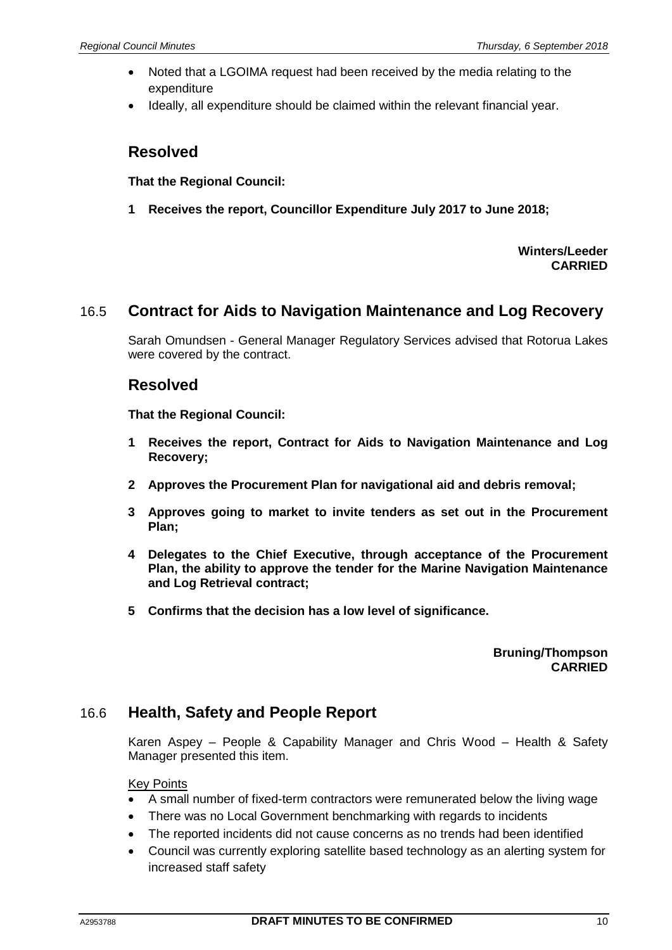- Noted that a LGOIMA request had been received by the media relating to the expenditure
- Ideally, all expenditure should be claimed within the relevant financial year.

## **Resolved**

**That the Regional Council:**

**1 Receives the report, Councillor Expenditure July 2017 to June 2018;**

**Winters/Leeder CARRIED**

# 16.5 **Contract for Aids to Navigation Maintenance and Log Recovery**

Sarah Omundsen - General Manager Regulatory Services advised that Rotorua Lakes were covered by the contract.

## **Resolved**

**That the Regional Council:**

- **1 Receives the report, Contract for Aids to Navigation Maintenance and Log Recovery;**
- **2 Approves the Procurement Plan for navigational aid and debris removal;**
- **3 Approves going to market to invite tenders as set out in the Procurement Plan;**
- **4 Delegates to the Chief Executive, through acceptance of the Procurement Plan, the ability to approve the tender for the Marine Navigation Maintenance and Log Retrieval contract;**
- **5 Confirms that the decision has a low level of significance.**

**Bruning/Thompson CARRIED**

## 16.6 **Health, Safety and People Report**

Karen Aspey – People & Capability Manager and Chris Wood – Health & Safety Manager presented this item.

### Key Points

- A small number of fixed-term contractors were remunerated below the living wage
- There was no Local Government benchmarking with regards to incidents
- The reported incidents did not cause concerns as no trends had been identified
- Council was currently exploring satellite based technology as an alerting system for increased staff safety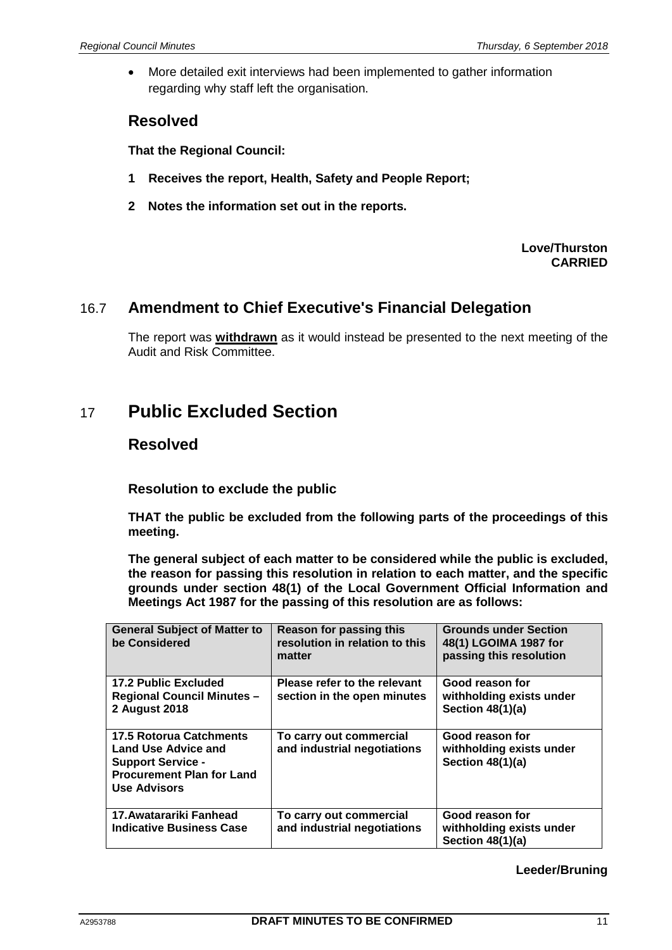• More detailed exit interviews had been implemented to gather information regarding why staff left the organisation.

# **Resolved**

**That the Regional Council:**

- **1 Receives the report, Health, Safety and People Report;**
- **2 Notes the information set out in the reports.**

### **Love/Thurston CARRIED**

## 16.7 **Amendment to Chief Executive's Financial Delegation**

The report was **withdrawn** as it would instead be presented to the next meeting of the Audit and Risk Committee.

# 17 **Public Excluded Section**

## **Resolved**

**Resolution to exclude the public**

**THAT the public be excluded from the following parts of the proceedings of this meeting.**

**The general subject of each matter to be considered while the public is excluded, the reason for passing this resolution in relation to each matter, and the specific grounds under section 48(1) of the Local Government Official Information and Meetings Act 1987 for the passing of this resolution are as follows:**

| <b>General Subject of Matter to</b><br>be Considered                                                                                                | Reason for passing this<br>resolution in relation to this<br>matter | <b>Grounds under Section</b><br>48(1) LGOIMA 1987 for<br>passing this resolution |
|-----------------------------------------------------------------------------------------------------------------------------------------------------|---------------------------------------------------------------------|----------------------------------------------------------------------------------|
| <b>17.2 Public Excluded</b><br><b>Regional Council Minutes -</b><br>2 August 2018                                                                   | Please refer to the relevant<br>section in the open minutes         | Good reason for<br>withholding exists under<br>Section $48(1)(a)$                |
| <b>17.5 Rotorua Catchments</b><br><b>Land Use Advice and</b><br><b>Support Service -</b><br><b>Procurement Plan for Land</b><br><b>Use Advisors</b> | To carry out commercial<br>and industrial negotiations              | Good reason for<br>withholding exists under<br>Section 48(1)(a)                  |
| 17. Awatarariki Fanhead<br><b>Indicative Business Case</b>                                                                                          | To carry out commercial<br>and industrial negotiations              | Good reason for<br>withholding exists under<br>Section 48(1)(a)                  |

### **Leeder/Bruning**